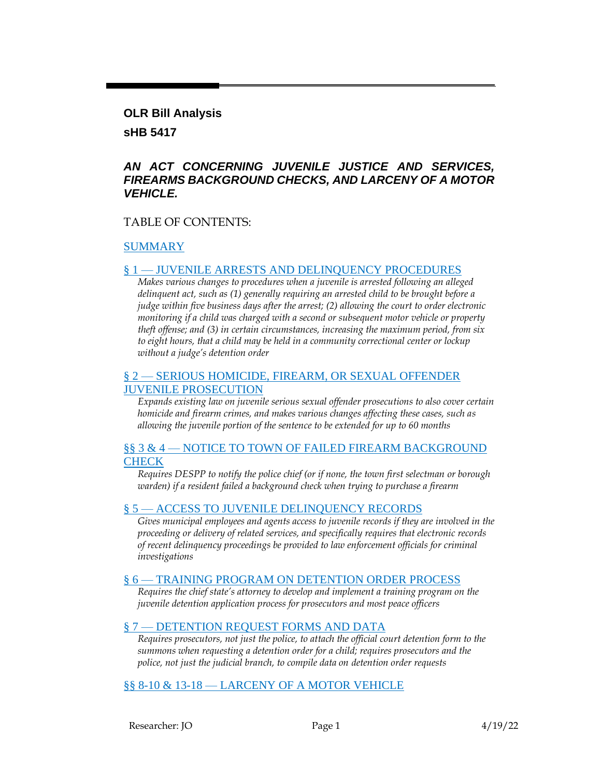#### **OLR Bill Analysis**

### **sHB 5417**

### *AN ACT CONCERNING JUVENILE JUSTICE AND SERVICES, FIREARMS BACKGROUND CHECKS, AND LARCENY OF A MOTOR VEHICLE.*

### TABLE OF CONTENTS:

### [SUMMARY](#page-1-0)

### § 1 — [JUVENILE ARRESTS AND DELINQUENCY PROCEDURES](#page-1-1)

*Makes various changes to procedures when a juvenile is arrested following an alleged delinquent act, such as (1) generally requiring an arrested child to be brought before a judge within five business days after the arrest; (2) allowing the court to order electronic monitoring if a child was charged with a second or subsequent motor vehicle or property theft offense; and (3) in certain circumstances, increasing the maximum period, from six to eight hours, that a child may be held in a community correctional center or lockup without a judge's detention order*

### § 2 — [SERIOUS HOMICIDE, FIREARM, OR SEXUAL OFFENDER](#page-3-0)  [JUVENILE PROSECUTION](#page-3-0)

*Expands existing law on juvenile serious sexual offender prosecutions to also cover certain homicide and firearm crimes, and makes various changes affecting these cases, such as allowing the juvenile portion of the sentence to be extended for up to 60 months*

#### §§ 3 & 4 — NOTICE TO TOWN OF FAILED FIREARM BACKGROUND **[CHECK](#page-6-0)**

*Requires DESPP to notify the police chief (or if none, the town first selectman or borough warden) if a resident failed a background check when trying to purchase a firearm*

#### § 5 — [ACCESS TO JUVENILE DELINQUENCY RECORDS](#page-6-1)

*Gives municipal employees and agents access to juvenile records if they are involved in the proceeding or delivery of related services, and specifically requires that electronic records of recent delinquency proceedings be provided to law enforcement officials for criminal investigations*

#### § 6 — [TRAINING PROGRAM ON DETENTION ORDER PROCESS](#page-7-0)

*Requires the chief state's attorney to develop and implement a training program on the juvenile detention application process for prosecutors and most peace officers*

#### § 7 — [DETENTION REQUEST FORMS AND DATA](#page-7-1)

*Requires prosecutors, not just the police, to attach the official court detention form to the summons when requesting a detention order for a child; requires prosecutors and the police, not just the judicial branch, to compile data on detention order requests*

#### §§ 8-10 & 13-18 — [LARCENY OF A MOTOR VEHICLE](#page-8-0)

Researcher: JO Page 1 4/19/22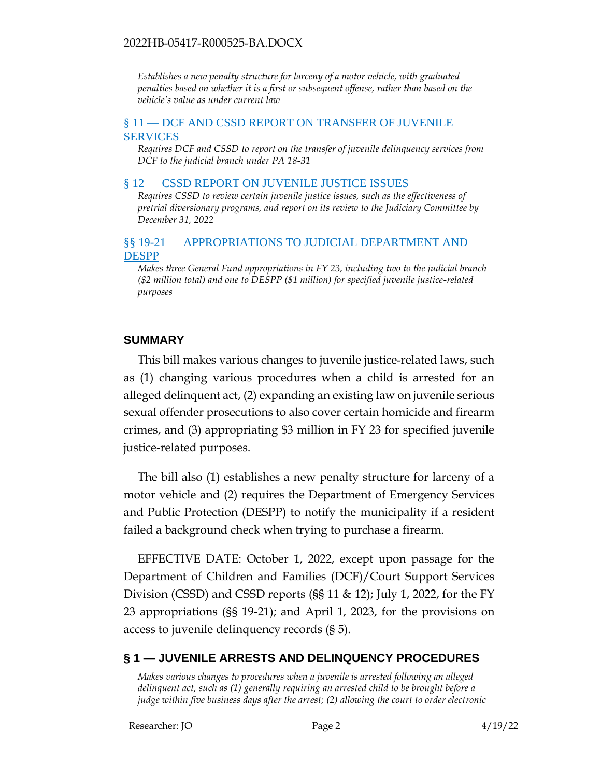*Establishes a new penalty structure for larceny of a motor vehicle, with graduated penalties based on whether it is a first or subsequent offense, rather than based on the vehicle's value as under current law*

#### § 11 — [DCF AND CSSD REPORT ON TRANSFER OF JUVENILE](#page-9-0)  [SERVICES](#page-9-0)

*Requires DCF and CSSD to report on the transfer of juvenile delinquency services from DCF to the judicial branch under PA 18-31*

#### § 12 — [CSSD REPORT ON JUVENILE JUSTICE ISSUES](#page-9-1)

*Requires CSSD to review certain juvenile justice issues, such as the effectiveness of pretrial diversionary programs, and report on its review to the Judiciary Committee by December 31, 2022*

#### §§ 19-21 — [APPROPRIATIONS TO JUDICIAL DEPARTMENT AND](#page-10-0)  [DESPP](#page-10-0)

*Makes three General Fund appropriations in FY 23, including two to the judicial branch (\$2 million total) and one to DESPP (\$1 million) for specified juvenile justice-related purposes*

### <span id="page-1-0"></span>**SUMMARY**

This bill makes various changes to juvenile justice-related laws, such as (1) changing various procedures when a child is arrested for an alleged delinquent act, (2) expanding an existing law on juvenile serious sexual offender prosecutions to also cover certain homicide and firearm crimes, and (3) appropriating \$3 million in FY 23 for specified juvenile justice-related purposes.

The bill also (1) establishes a new penalty structure for larceny of a motor vehicle and (2) requires the Department of Emergency Services and Public Protection (DESPP) to notify the municipality if a resident failed a background check when trying to purchase a firearm.

EFFECTIVE DATE: October 1, 2022, except upon passage for the Department of Children and Families (DCF)/Court Support Services Division (CSSD) and CSSD reports (§§ 11 & 12); July 1, 2022, for the FY 23 appropriations (§§ 19-21); and April 1, 2023, for the provisions on access to juvenile delinquency records (§ 5).

## <span id="page-1-1"></span>**§ 1 — JUVENILE ARRESTS AND DELINQUENCY PROCEDURES**

*Makes various changes to procedures when a juvenile is arrested following an alleged delinquent act, such as (1) generally requiring an arrested child to be brought before a judge within five business days after the arrest; (2) allowing the court to order electronic*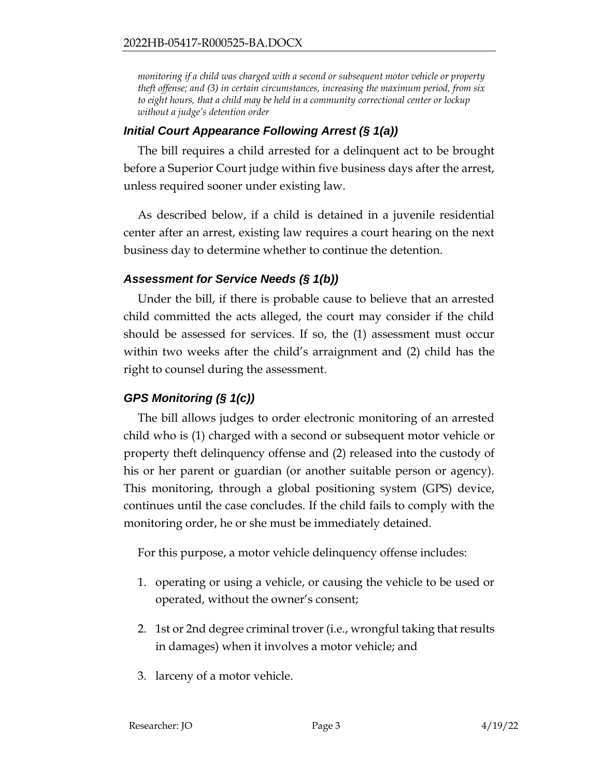*monitoring if a child was charged with a second or subsequent motor vehicle or property theft offense; and (3) in certain circumstances, increasing the maximum period, from six to eight hours, that a child may be held in a community correctional center or lockup without a judge's detention order*

### *Initial Court Appearance Following Arrest (§ 1(a))*

The bill requires a child arrested for a delinquent act to be brought before a Superior Court judge within five business days after the arrest, unless required sooner under existing law.

As described below, if a child is detained in a juvenile residential center after an arrest, existing law requires a court hearing on the next business day to determine whether to continue the detention.

### *Assessment for Service Needs (§ 1(b))*

Under the bill, if there is probable cause to believe that an arrested child committed the acts alleged, the court may consider if the child should be assessed for services. If so, the (1) assessment must occur within two weeks after the child's arraignment and (2) child has the right to counsel during the assessment.

## *GPS Monitoring (§ 1(c))*

The bill allows judges to order electronic monitoring of an arrested child who is (1) charged with a second or subsequent motor vehicle or property theft delinquency offense and (2) released into the custody of his or her parent or guardian (or another suitable person or agency). This monitoring, through a global positioning system (GPS) device, continues until the case concludes. If the child fails to comply with the monitoring order, he or she must be immediately detained.

For this purpose, a motor vehicle delinquency offense includes:

- 1. operating or using a vehicle, or causing the vehicle to be used or operated, without the owner's consent;
- 2. 1st or 2nd degree criminal trover (i.e., wrongful taking that results in damages) when it involves a motor vehicle; and
- 3. larceny of a motor vehicle.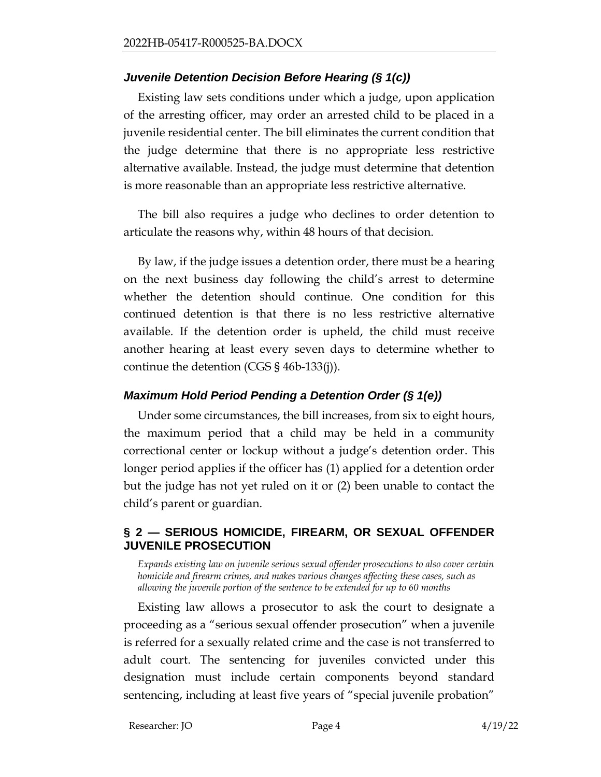## *Juvenile Detention Decision Before Hearing (§ 1(c))*

Existing law sets conditions under which a judge, upon application of the arresting officer, may order an arrested child to be placed in a juvenile residential center. The bill eliminates the current condition that the judge determine that there is no appropriate less restrictive alternative available. Instead, the judge must determine that detention is more reasonable than an appropriate less restrictive alternative.

The bill also requires a judge who declines to order detention to articulate the reasons why, within 48 hours of that decision.

By law, if the judge issues a detention order, there must be a hearing on the next business day following the child's arrest to determine whether the detention should continue. One condition for this continued detention is that there is no less restrictive alternative available. If the detention order is upheld, the child must receive another hearing at least every seven days to determine whether to continue the detention (CGS § 46b-133(j)).

## *Maximum Hold Period Pending a Detention Order (§ 1(e))*

Under some circumstances, the bill increases, from six to eight hours, the maximum period that a child may be held in a community correctional center or lockup without a judge's detention order. This longer period applies if the officer has (1) applied for a detention order but the judge has not yet ruled on it or (2) been unable to contact the child's parent or guardian.

### <span id="page-3-0"></span>**§ 2 — SERIOUS HOMICIDE, FIREARM, OR SEXUAL OFFENDER JUVENILE PROSECUTION**

*Expands existing law on juvenile serious sexual offender prosecutions to also cover certain homicide and firearm crimes, and makes various changes affecting these cases, such as allowing the juvenile portion of the sentence to be extended for up to 60 months*

Existing law allows a prosecutor to ask the court to designate a proceeding as a "serious sexual offender prosecution" when a juvenile is referred for a sexually related crime and the case is not transferred to adult court. The sentencing for juveniles convicted under this designation must include certain components beyond standard sentencing, including at least five years of "special juvenile probation"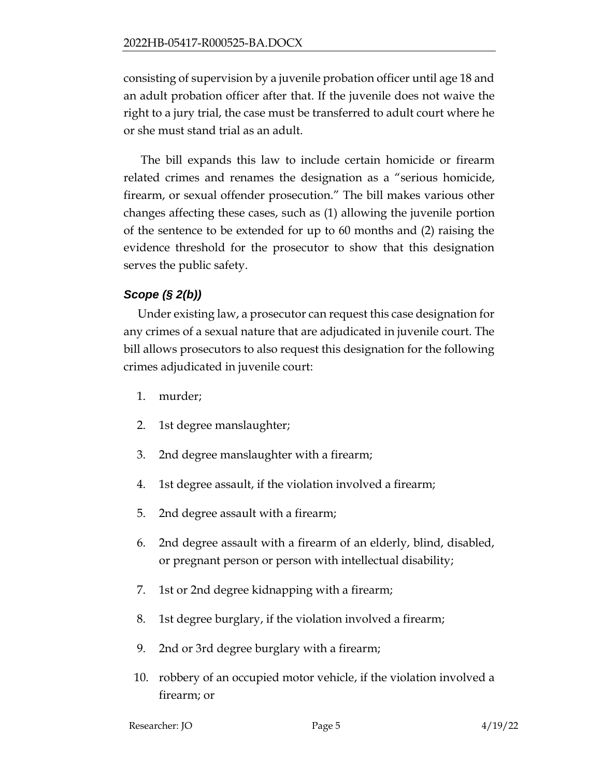consisting of supervision by a juvenile probation officer until age 18 and an adult probation officer after that. If the juvenile does not waive the right to a jury trial, the case must be transferred to adult court where he or she must stand trial as an adult.

The bill expands this law to include certain homicide or firearm related crimes and renames the designation as a "serious homicide, firearm, or sexual offender prosecution." The bill makes various other changes affecting these cases, such as (1) allowing the juvenile portion of the sentence to be extended for up to 60 months and (2) raising the evidence threshold for the prosecutor to show that this designation serves the public safety.

# *Scope (§ 2(b))*

Under existing law, a prosecutor can request this case designation for any crimes of a sexual nature that are adjudicated in juvenile court. The bill allows prosecutors to also request this designation for the following crimes adjudicated in juvenile court:

- 1. murder;
- 2. 1st degree manslaughter;
- 3. 2nd degree manslaughter with a firearm;
- 4. 1st degree assault, if the violation involved a firearm;
- 5. 2nd degree assault with a firearm;
- 6. 2nd degree assault with a firearm of an elderly, blind, disabled, or pregnant person or person with intellectual disability;
- 7. 1st or 2nd degree kidnapping with a firearm;
- 8. 1st degree burglary, if the violation involved a firearm;
- 9. 2nd or 3rd degree burglary with a firearm;
- 10. robbery of an occupied motor vehicle, if the violation involved a firearm; or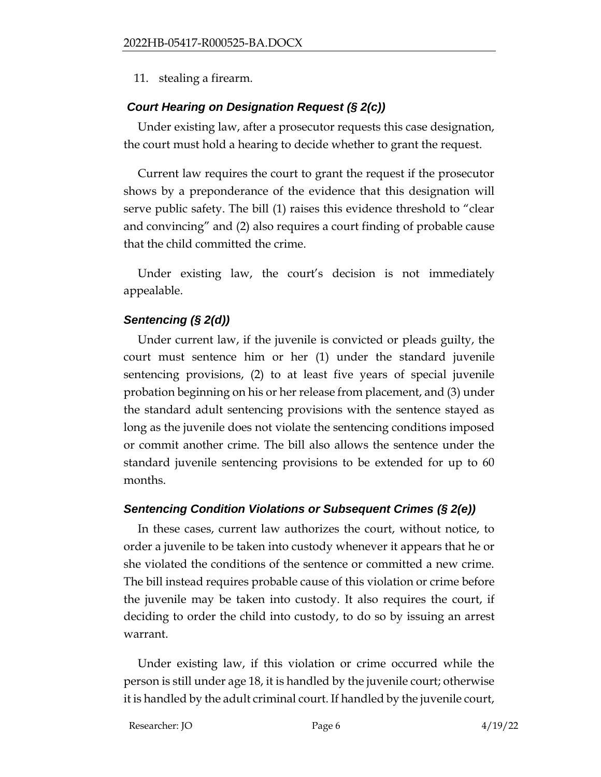11. stealing a firearm.

## *Court Hearing on Designation Request (§ 2(c))*

Under existing law, after a prosecutor requests this case designation, the court must hold a hearing to decide whether to grant the request.

Current law requires the court to grant the request if the prosecutor shows by a preponderance of the evidence that this designation will serve public safety. The bill (1) raises this evidence threshold to "clear and convincing" and (2) also requires a court finding of probable cause that the child committed the crime.

Under existing law, the court's decision is not immediately appealable.

## *Sentencing (§ 2(d))*

Under current law, if the juvenile is convicted or pleads guilty, the court must sentence him or her (1) under the standard juvenile sentencing provisions, (2) to at least five years of special juvenile probation beginning on his or her release from placement, and (3) under the standard adult sentencing provisions with the sentence stayed as long as the juvenile does not violate the sentencing conditions imposed or commit another crime. The bill also allows the sentence under the standard juvenile sentencing provisions to be extended for up to 60 months.

## *Sentencing Condition Violations or Subsequent Crimes (§ 2(e))*

In these cases, current law authorizes the court, without notice, to order a juvenile to be taken into custody whenever it appears that he or she violated the conditions of the sentence or committed a new crime. The bill instead requires probable cause of this violation or crime before the juvenile may be taken into custody. It also requires the court, if deciding to order the child into custody, to do so by issuing an arrest warrant.

Under existing law, if this violation or crime occurred while the person is still under age 18, it is handled by the juvenile court; otherwise it is handled by the adult criminal court. If handled by the juvenile court,

Researcher: JO Page 6 4/19/22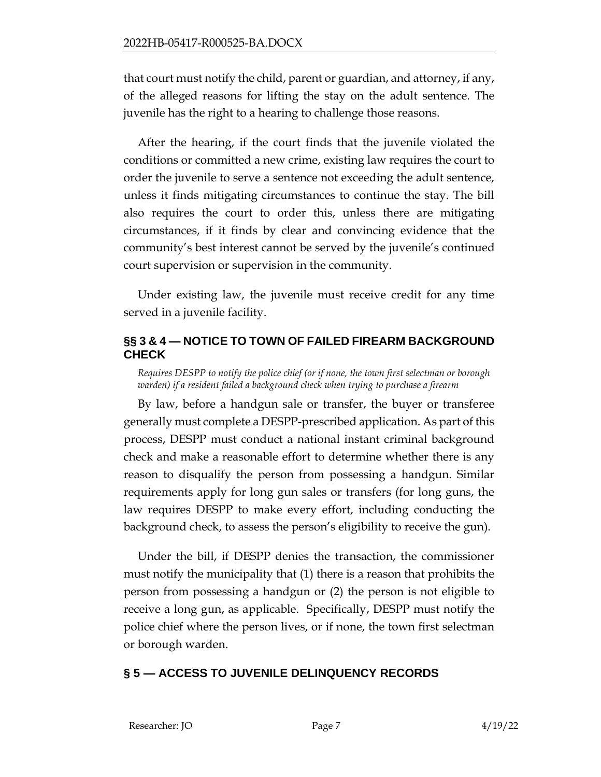that court must notify the child, parent or guardian, and attorney, if any, of the alleged reasons for lifting the stay on the adult sentence. The juvenile has the right to a hearing to challenge those reasons.

After the hearing, if the court finds that the juvenile violated the conditions or committed a new crime, existing law requires the court to order the juvenile to serve a sentence not exceeding the adult sentence, unless it finds mitigating circumstances to continue the stay. The bill also requires the court to order this, unless there are mitigating circumstances, if it finds by clear and convincing evidence that the community's best interest cannot be served by the juvenile's continued court supervision or supervision in the community.

Under existing law, the juvenile must receive credit for any time served in a juvenile facility.

## <span id="page-6-0"></span>**§§ 3 & 4 — NOTICE TO TOWN OF FAILED FIREARM BACKGROUND CHECK**

*Requires DESPP to notify the police chief (or if none, the town first selectman or borough warden) if a resident failed a background check when trying to purchase a firearm*

By law, before a handgun sale or transfer, the buyer or transferee generally must complete a DESPP-prescribed application. As part of this process, DESPP must conduct a national instant criminal background check and make a reasonable effort to determine whether there is any reason to disqualify the person from possessing a handgun. Similar requirements apply for long gun sales or transfers (for long guns, the law requires DESPP to make every effort, including conducting the background check, to assess the person's eligibility to receive the gun).

Under the bill, if DESPP denies the transaction, the commissioner must notify the municipality that (1) there is a reason that prohibits the person from possessing a handgun or (2) the person is not eligible to receive a long gun, as applicable. Specifically, DESPP must notify the police chief where the person lives, or if none, the town first selectman or borough warden.

## <span id="page-6-1"></span>**§ 5 — ACCESS TO JUVENILE DELINQUENCY RECORDS**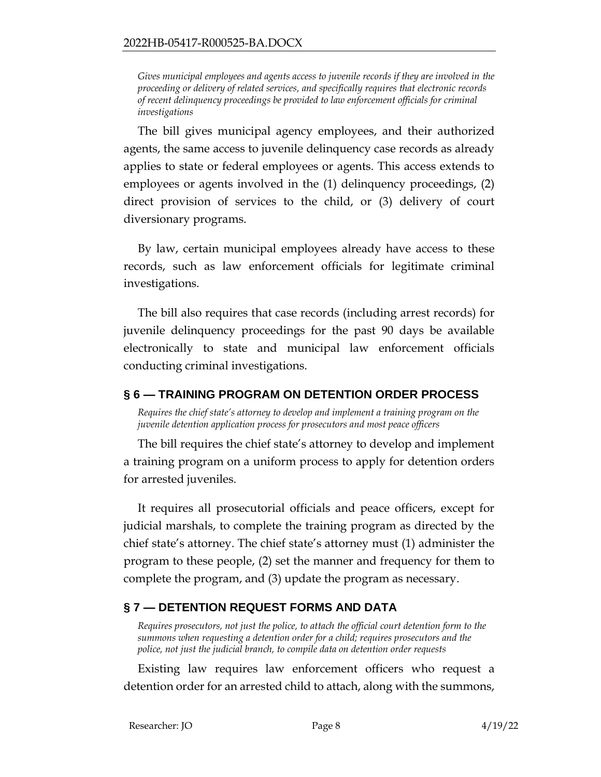*Gives municipal employees and agents access to juvenile records if they are involved in the proceeding or delivery of related services, and specifically requires that electronic records of recent delinquency proceedings be provided to law enforcement officials for criminal investigations*

The bill gives municipal agency employees, and their authorized agents, the same access to juvenile delinquency case records as already applies to state or federal employees or agents. This access extends to employees or agents involved in the (1) delinquency proceedings, (2) direct provision of services to the child, or (3) delivery of court diversionary programs.

By law, certain municipal employees already have access to these records, such as law enforcement officials for legitimate criminal investigations.

The bill also requires that case records (including arrest records) for juvenile delinquency proceedings for the past 90 days be available electronically to state and municipal law enforcement officials conducting criminal investigations.

### <span id="page-7-0"></span>**§ 6 — TRAINING PROGRAM ON DETENTION ORDER PROCESS**

*Requires the chief state's attorney to develop and implement a training program on the juvenile detention application process for prosecutors and most peace officers*

The bill requires the chief state's attorney to develop and implement a training program on a uniform process to apply for detention orders for arrested juveniles.

It requires all prosecutorial officials and peace officers, except for judicial marshals, to complete the training program as directed by the chief state's attorney. The chief state's attorney must (1) administer the program to these people, (2) set the manner and frequency for them to complete the program, and (3) update the program as necessary.

## <span id="page-7-1"></span>**§ 7 — DETENTION REQUEST FORMS AND DATA**

*Requires prosecutors, not just the police, to attach the official court detention form to the summons when requesting a detention order for a child; requires prosecutors and the police, not just the judicial branch, to compile data on detention order requests*

Existing law requires law enforcement officers who request a detention order for an arrested child to attach, along with the summons,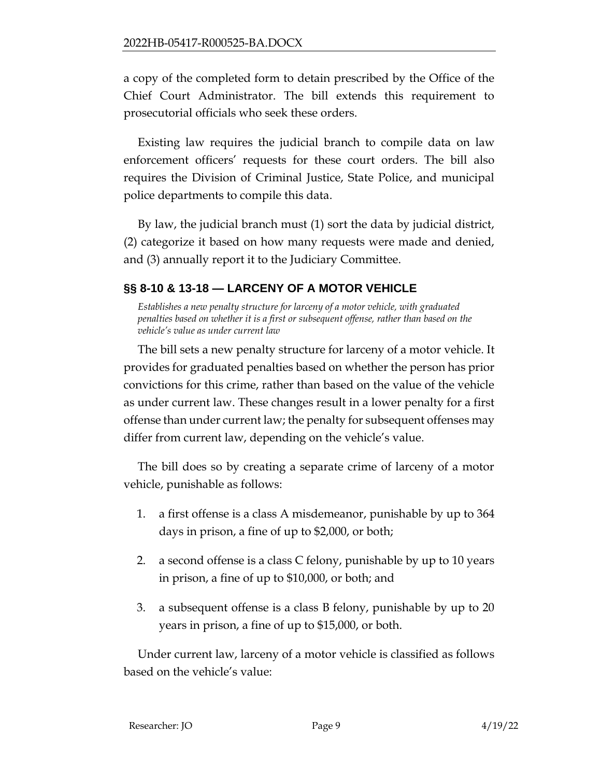a copy of the completed form to detain prescribed by the Office of the Chief Court Administrator. The bill extends this requirement to prosecutorial officials who seek these orders.

Existing law requires the judicial branch to compile data on law enforcement officers' requests for these court orders. The bill also requires the Division of Criminal Justice, State Police, and municipal police departments to compile this data.

By law, the judicial branch must (1) sort the data by judicial district, (2) categorize it based on how many requests were made and denied, and (3) annually report it to the Judiciary Committee.

# <span id="page-8-0"></span>**§§ 8-10 & 13-18 — LARCENY OF A MOTOR VEHICLE**

*Establishes a new penalty structure for larceny of a motor vehicle, with graduated penalties based on whether it is a first or subsequent offense, rather than based on the vehicle's value as under current law*

The bill sets a new penalty structure for larceny of a motor vehicle. It provides for graduated penalties based on whether the person has prior convictions for this crime, rather than based on the value of the vehicle as under current law. These changes result in a lower penalty for a first offense than under current law; the penalty for subsequent offenses may differ from current law, depending on the vehicle's value.

The bill does so by creating a separate crime of larceny of a motor vehicle, punishable as follows:

- 1. a first offense is a class A misdemeanor, punishable by up to 364 days in prison, a fine of up to \$2,000, or both;
- 2. a second offense is a class C felony, punishable by up to 10 years in prison, a fine of up to \$10,000, or both; and
- 3. a subsequent offense is a class B felony, punishable by up to 20 years in prison, a fine of up to \$15,000, or both.

Under current law, larceny of a motor vehicle is classified as follows based on the vehicle's value: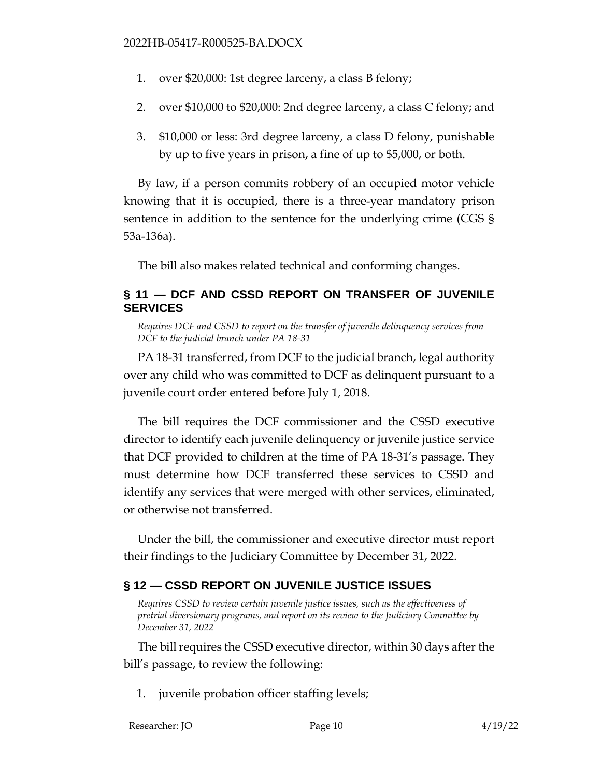- 1. over \$20,000: 1st degree larceny, a class B felony;
- 2. over \$10,000 to \$20,000: 2nd degree larceny, a class C felony; and
- 3. \$10,000 or less: 3rd degree larceny, a class D felony, punishable by up to five years in prison, a fine of up to \$5,000, or both.

By law, if a person commits robbery of an occupied motor vehicle knowing that it is occupied, there is a three-year mandatory prison sentence in addition to the sentence for the underlying crime (CGS § 53a-136a).

The bill also makes related technical and conforming changes.

## <span id="page-9-0"></span>**§ 11 — DCF AND CSSD REPORT ON TRANSFER OF JUVENILE SERVICES**

*Requires DCF and CSSD to report on the transfer of juvenile delinquency services from DCF to the judicial branch under PA 18-31*

PA 18-31 transferred, from DCF to the judicial branch, legal authority over any child who was committed to DCF as delinquent pursuant to a juvenile court order entered before July 1, 2018.

The bill requires the DCF commissioner and the CSSD executive director to identify each juvenile delinquency or juvenile justice service that DCF provided to children at the time of PA 18-31's passage. They must determine how DCF transferred these services to CSSD and identify any services that were merged with other services, eliminated, or otherwise not transferred.

Under the bill, the commissioner and executive director must report their findings to the Judiciary Committee by December 31, 2022.

# <span id="page-9-1"></span>**§ 12 — CSSD REPORT ON JUVENILE JUSTICE ISSUES**

*Requires CSSD to review certain juvenile justice issues, such as the effectiveness of pretrial diversionary programs, and report on its review to the Judiciary Committee by December 31, 2022*

The bill requires the CSSD executive director, within 30 days after the bill's passage, to review the following:

1. juvenile probation officer staffing levels;